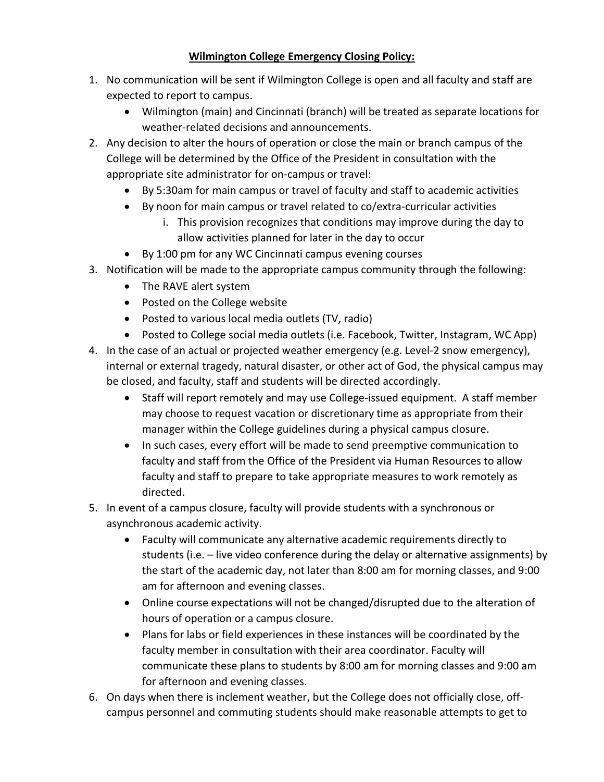## **Wilmington College Emergency Closing Policy:**

- 1. No communication will be sent if Wilmington College is open and all faculty and staff are expected to report to campus.
	- Wilmington (main) and Cincinnati (branch) will be treated as separate locations for weather-related decisions and announcements.
- 2. Any decision to alter the hours of operation or close the main or branch campus of the College will be determined by the Office of the President in consultation with the appropriate site administrator for on-campus or travel:
	- By 5:30am for main campus or travel of faculty and staff to academic activities
	- By noon for main campus or travel related to co/extra-curricular activities
		- i. This provision recognizes that conditions may improve during the day to allow activities planned for later in the day to occur
	- By 1:00 pm for any WC Cincinnati campus evening courses
- 3. Notification will be made to the appropriate campus community through the following:
	- The RAVE alert system
	- Posted on the College website
	- Posted to various local media outlets (TV, radio)
	- Posted to College social media outlets (i.e. Facebook, Twitter, Instagram, WC App)
- 4. In the case of an actual or projected weather emergency (e.g. Level-2 snow emergency), internal or external tragedy, natural disaster, or other act of God, the physical campus may be closed, and faculty, staff and students will be directed accordingly.
	- Staff will report remotely and may use College-issued equipment. A staff member may choose to request vacation or discretionary time as appropriate from their manager within the College guidelines during a physical campus closure.
	- In such cases, every effort will be made to send preemptive communication to faculty and staff from the Office of the President via Human Resources to allow faculty and staff to prepare to take appropriate measures to work remotely as directed.
- 5. In event of a campus closure, faculty will provide students with a synchronous or asynchronous academic activity.
	- Faculty will communicate any alternative academic requirements directly to students (i.e. – live video conference during the delay or alternative assignments) by the start of the academic day, not later than 8:00 am for morning classes, and 9:00 am for afternoon and evening classes.
	- Online course expectations will not be changed/disrupted due to the alteration of hours of operation or a campus closure.
	- Plans for labs or field experiences in these instances will be coordinated by the faculty member in consultation with their area coordinator. Faculty will communicate these plans to students by 8:00 am for morning classes and 9:00 am for afternoon and evening classes.
- 6. On days when there is inclement weather, but the College does not officially close, offcampus personnel and commuting students should make reasonable attempts to get to